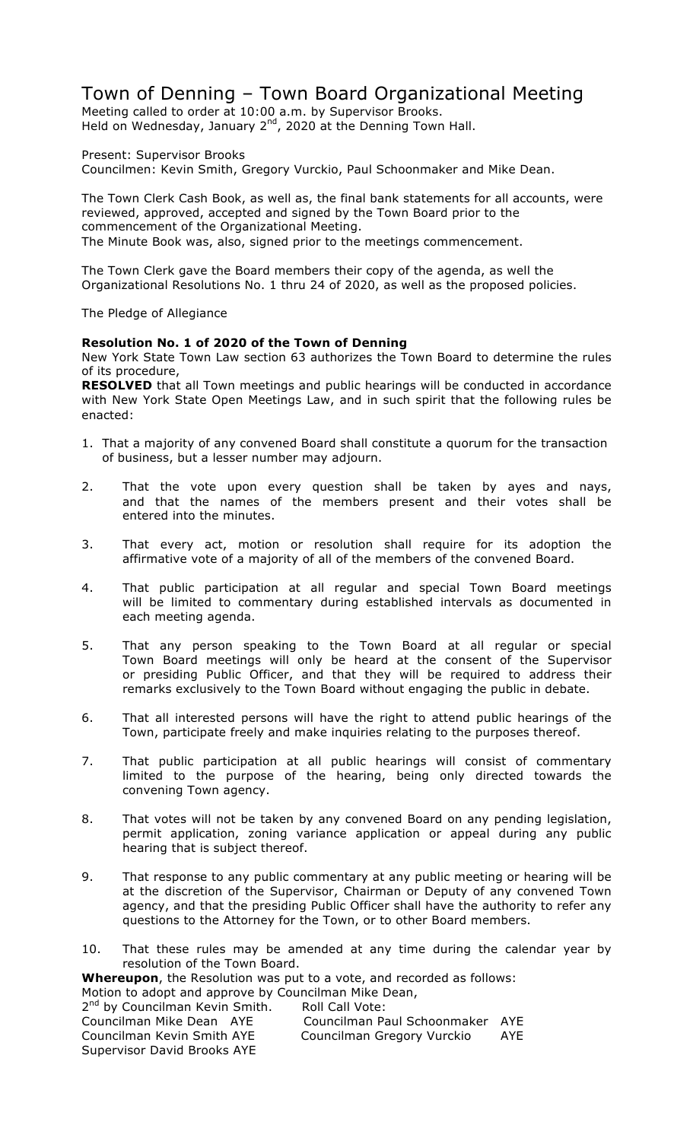# Town of Denning – Town Board Organizational Meeting

Meeting called to order at 10:00 a.m. by Supervisor Brooks. Held on Wednesday, January 2<sup>nd</sup>, 2020 at the Denning Town Hall.

Present: Supervisor Brooks Councilmen: Kevin Smith, Gregory Vurckio, Paul Schoonmaker and Mike Dean.

The Town Clerk Cash Book, as well as, the final bank statements for all accounts, were reviewed, approved, accepted and signed by the Town Board prior to the commencement of the Organizational Meeting. The Minute Book was, also, signed prior to the meetings commencement.

The Town Clerk gave the Board members their copy of the agenda, as well the Organizational Resolutions No. 1 thru 24 of 2020, as well as the proposed policies.

The Pledge of Allegiance

## **Resolution No. 1 of 2020 of the Town of Denning**

New York State Town Law section 63 authorizes the Town Board to determine the rules of its procedure,

**RESOLVED** that all Town meetings and public hearings will be conducted in accordance with New York State Open Meetings Law, and in such spirit that the following rules be enacted:

- 1. That a majority of any convened Board shall constitute a quorum for the transaction of business, but a lesser number may adjourn.
- 2. That the vote upon every question shall be taken by ayes and nays, and that the names of the members present and their votes shall be entered into the minutes.
- 3. That every act, motion or resolution shall require for its adoption the affirmative vote of a majority of all of the members of the convened Board.
- 4. That public participation at all regular and special Town Board meetings will be limited to commentary during established intervals as documented in each meeting agenda.
- 5. That any person speaking to the Town Board at all regular or special Town Board meetings will only be heard at the consent of the Supervisor or presiding Public Officer, and that they will be required to address their remarks exclusively to the Town Board without engaging the public in debate.
- 6. That all interested persons will have the right to attend public hearings of the Town, participate freely and make inquiries relating to the purposes thereof.
- 7. That public participation at all public hearings will consist of commentary limited to the purpose of the hearing, being only directed towards the convening Town agency.
- 8. That votes will not be taken by any convened Board on any pending legislation, permit application, zoning variance application or appeal during any public hearing that is subject thereof.
- 9. That response to any public commentary at any public meeting or hearing will be at the discretion of the Supervisor, Chairman or Deputy of any convened Town agency, and that the presiding Public Officer shall have the authority to refer any questions to the Attorney for the Town, or to other Board members.
- 10. That these rules may be amended at any time during the calendar year by resolution of the Town Board.

**Whereupon**, the Resolution was put to a vote, and recorded as follows: Motion to adopt and approve by Councilman Mike Dean,

| $\sim$ . To the contract that applies to by counteminant in the Beam |                      |
|----------------------------------------------------------------------|----------------------|
| 2 <sup>nd</sup> by Councilman Kevin Smith.                           | Roll Call Vote:      |
| Councilman Mike Dean AYE                                             | Councilman Paul S    |
|                                                                      | $\sim$ $\sim$ $\sim$ |

choonmaker AYE Councilman Kevin Smith AYE Councilman Gregory Vurckio AYE Supervisor David Brooks AYE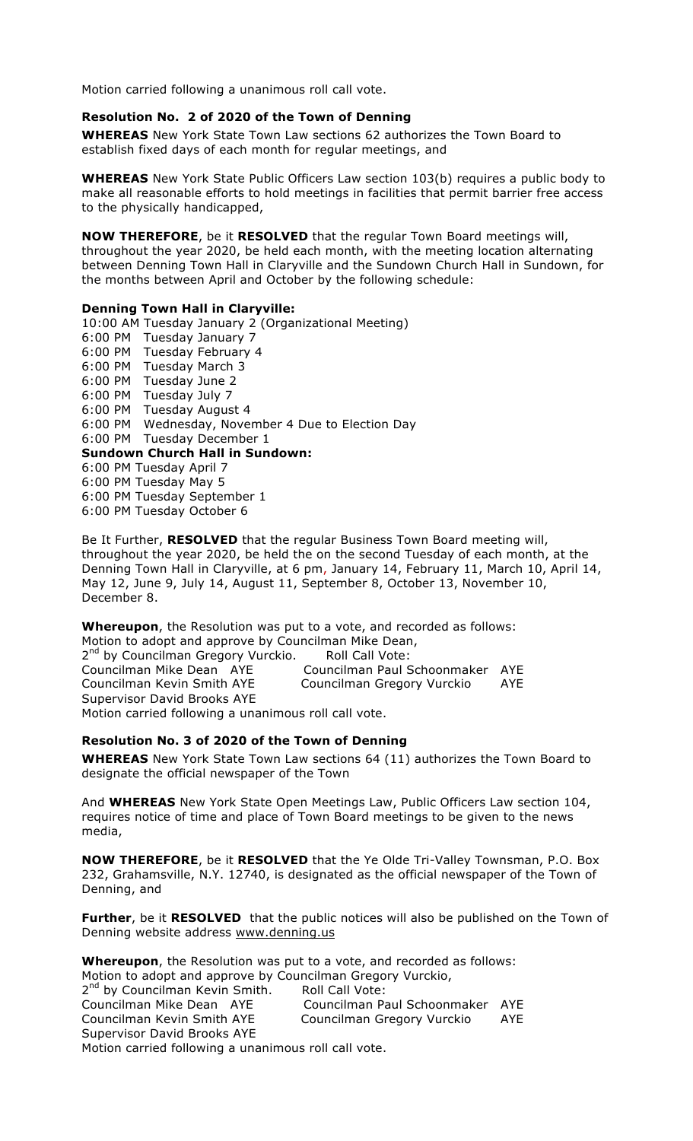#### **Resolution No. 2 of 2020 of the Town of Denning**

**WHEREAS** New York State Town Law sections 62 authorizes the Town Board to establish fixed days of each month for regular meetings, and

**WHEREAS** New York State Public Officers Law section 103(b) requires a public body to make all reasonable efforts to hold meetings in facilities that permit barrier free access to the physically handicapped,

**NOW THEREFORE**, be it **RESOLVED** that the regular Town Board meetings will, throughout the year 2020, be held each month, with the meeting location alternating between Denning Town Hall in Claryville and the Sundown Church Hall in Sundown, for the months between April and October by the following schedule:

#### **Denning Town Hall in Claryville:**

10:00 AM Tuesday January 2 (Organizational Meeting) 6:00 PM Tuesday January 7 6:00 PM Tuesday February 4 6:00 PM Tuesday March 3 6:00 PM Tuesday June 2 6:00 PM Tuesday July 7 6:00 PM Tuesday August 4 6:00 PM Wednesday, November 4 Due to Election Day 6:00 PM Tuesday December 1 **Sundown Church Hall in Sundown:** 6:00 PM Tuesday April 7 6:00 PM Tuesday May 5 6:00 PM Tuesday September 1 6:00 PM Tuesday October 6

Be It Further, **RESOLVED** that the regular Business Town Board meeting will, throughout the year 2020, be held the on the second Tuesday of each month, at the Denning Town Hall in Claryville, at 6 pm, January 14, February 11, March 10, April 14, May 12, June 9, July 14, August 11, September 8, October 13, November 10, December 8.

**Whereupon**, the Resolution was put to a vote, and recorded as follows: Motion to adopt and approve by Councilman Mike Dean, 2<sup>nd</sup> by Councilman Gregory Vurckio. Roll Call Vote: Councilman Mike Dean AYE Councilman Paul Schoonmaker AYE Councilman Kevin Smith AYE Councilman Gregory Vurckio AYE Supervisor David Brooks AYE Motion carried following a unanimous roll call vote.

#### **Resolution No. 3 of 2020 of the Town of Denning**

**WHEREAS** New York State Town Law sections 64 (11) authorizes the Town Board to designate the official newspaper of the Town

And **WHEREAS** New York State Open Meetings Law, Public Officers Law section 104, requires notice of time and place of Town Board meetings to be given to the news media,

**NOW THEREFORE**, be it **RESOLVED** that the Ye Olde Tri-Valley Townsman, P.O. Box 232, Grahamsville, N.Y. 12740, is designated as the official newspaper of the Town of Denning, and

**Further**, be it **RESOLVED** that the public notices will also be published on the Town of Denning website address www.denning.us

**Whereupon**, the Resolution was put to a vote, and recorded as follows: Motion to adopt and approve by Councilman Gregory Vurckio, 2<sup>nd</sup> by Councilman Kevin Smith. Roll Call Vote:<br>Councilman Mike Dean AYE Councilman Pa Councilman Paul Schoonmaker AYE Councilman Kevin Smith AYE Councilman Gregory Vurckio AYE Supervisor David Brooks AYE Motion carried following a unanimous roll call vote.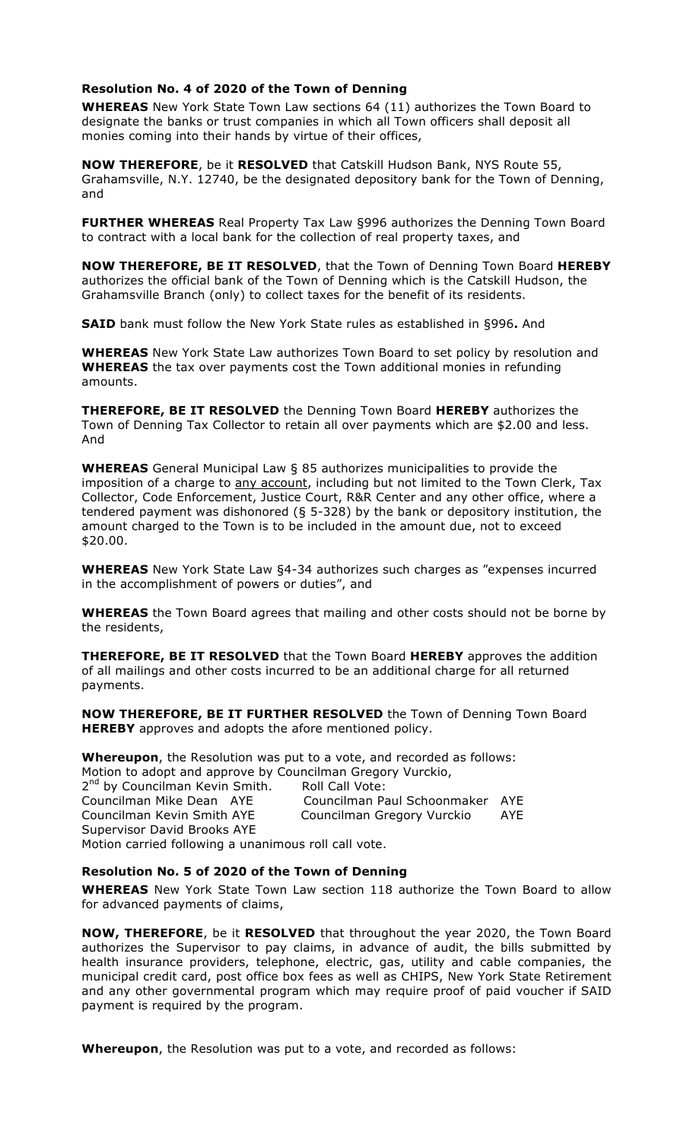### **Resolution No. 4 of 2020 of the Town of Denning**

**WHEREAS** New York State Town Law sections 64 (11) authorizes the Town Board to designate the banks or trust companies in which all Town officers shall deposit all monies coming into their hands by virtue of their offices,

**NOW THEREFORE**, be it **RESOLVED** that Catskill Hudson Bank, NYS Route 55, Grahamsville, N.Y. 12740, be the designated depository bank for the Town of Denning, and

**FURTHER WHEREAS** Real Property Tax Law §996 authorizes the Denning Town Board to contract with a local bank for the collection of real property taxes, and

**NOW THEREFORE, BE IT RESOLVED**, that the Town of Denning Town Board **HEREBY** authorizes the official bank of the Town of Denning which is the Catskill Hudson, the Grahamsville Branch (only) to collect taxes for the benefit of its residents.

**SAID** bank must follow the New York State rules as established in §996**.** And

**WHEREAS** New York State Law authorizes Town Board to set policy by resolution and **WHEREAS** the tax over payments cost the Town additional monies in refunding amounts.

**THEREFORE, BE IT RESOLVED** the Denning Town Board **HEREBY** authorizes the Town of Denning Tax Collector to retain all over payments which are \$2.00 and less. And

**WHEREAS** General Municipal Law § 85 authorizes municipalities to provide the imposition of a charge to any account, including but not limited to the Town Clerk, Tax Collector, Code Enforcement, Justice Court, R&R Center and any other office, where a tendered payment was dishonored (§ 5-328) by the bank or depository institution, the amount charged to the Town is to be included in the amount due, not to exceed \$20.00.

**WHEREAS** New York State Law §4-34 authorizes such charges as "expenses incurred in the accomplishment of powers or duties", and

**WHEREAS** the Town Board agrees that mailing and other costs should not be borne by the residents,

**THEREFORE, BE IT RESOLVED** that the Town Board **HEREBY** approves the addition of all mailings and other costs incurred to be an additional charge for all returned payments.

**NOW THEREFORE, BE IT FURTHER RESOLVED** the Town of Denning Town Board **HEREBY** approves and adopts the afore mentioned policy.

**Whereupon**, the Resolution was put to a vote, and recorded as follows: Motion to adopt and approve by Councilman Gregory Vurckio,

2<sup>nd</sup> by Councilman Kevin Smith. Roll Call Vote:<br>Councilman Mike Dean AYE Councilman Pa Councilman Paul Schoonmaker AYE Councilman Kevin Smith AYE Councilman Gregory Vurckio AYE Supervisor David Brooks AYE Motion carried following a unanimous roll call vote.

#### **Resolution No. 5 of 2020 of the Town of Denning**

**WHEREAS** New York State Town Law section 118 authorize the Town Board to allow for advanced payments of claims,

**NOW, THEREFORE**, be it **RESOLVED** that throughout the year 2020, the Town Board authorizes the Supervisor to pay claims, in advance of audit, the bills submitted by health insurance providers, telephone, electric, gas, utility and cable companies, the municipal credit card, post office box fees as well as CHIPS, New York State Retirement and any other governmental program which may require proof of paid voucher if SAID payment is required by the program.

**Whereupon**, the Resolution was put to a vote, and recorded as follows: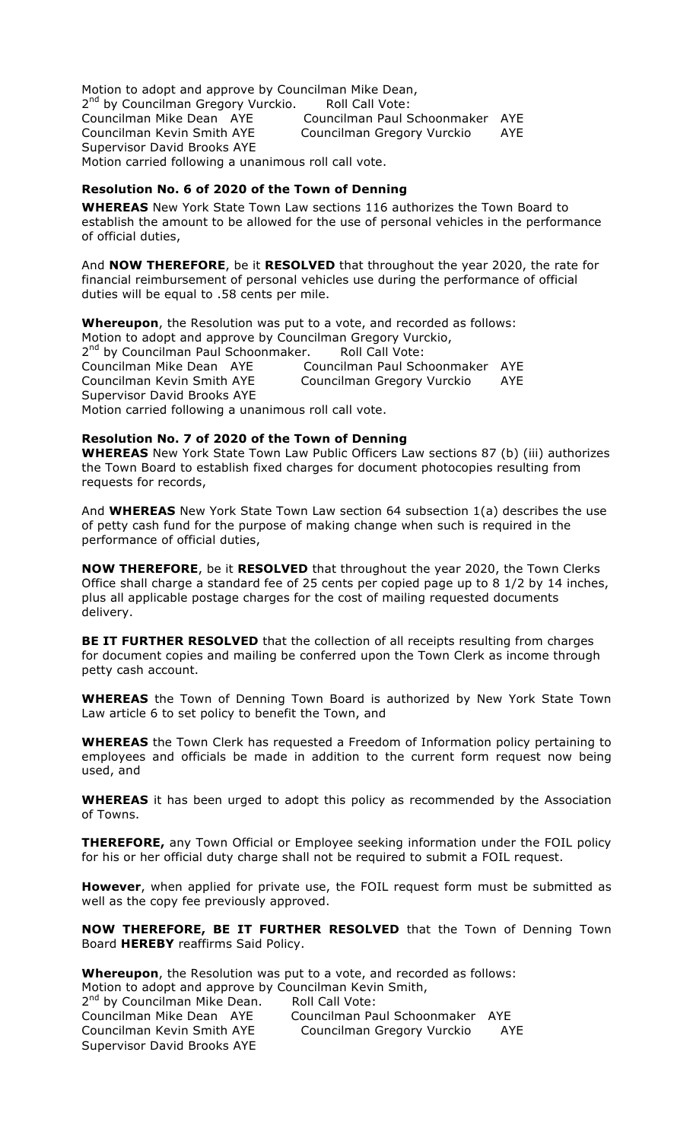Motion to adopt and approve by Councilman Mike Dean, 2<sup>nd</sup> by Councilman Gregory Vurckio. Roll Call Vote: Councilman Mike Dean AYE Councilman Paul Schoonmaker AYE Councilman Kevin Smith AYE Councilman Gregory Vurckio AYE Supervisor David Brooks AYE Motion carried following a unanimous roll call vote.

### **Resolution No. 6 of 2020 of the Town of Denning**

**WHEREAS** New York State Town Law sections 116 authorizes the Town Board to establish the amount to be allowed for the use of personal vehicles in the performance of official duties,

And **NOW THEREFORE**, be it **RESOLVED** that throughout the year 2020, the rate for financial reimbursement of personal vehicles use during the performance of official duties will be equal to .58 cents per mile.

**Whereupon**, the Resolution was put to a vote, and recorded as follows: Motion to adopt and approve by Councilman Gregory Vurckio, 2<sup>nd</sup> by Councilman Paul Schoonmaker. Roll Call Vote:<br>Councilman Mike Dean AYE Councilman Paul Sch Councilman Paul Schoonmaker AYE Councilman Kevin Smith AYE Councilman Gregory Vurckio AYE Supervisor David Brooks AYE Motion carried following a unanimous roll call vote.

### **Resolution No. 7 of 2020 of the Town of Denning**

**WHEREAS** New York State Town Law Public Officers Law sections 87 (b) (iii) authorizes the Town Board to establish fixed charges for document photocopies resulting from requests for records,

And **WHEREAS** New York State Town Law section 64 subsection 1(a) describes the use of petty cash fund for the purpose of making change when such is required in the performance of official duties,

**NOW THEREFORE**, be it **RESOLVED** that throughout the year 2020, the Town Clerks Office shall charge a standard fee of 25 cents per copied page up to 8 1/2 by 14 inches, plus all applicable postage charges for the cost of mailing requested documents delivery.

**BE IT FURTHER RESOLVED** that the collection of all receipts resulting from charges for document copies and mailing be conferred upon the Town Clerk as income through petty cash account.

**WHEREAS** the Town of Denning Town Board is authorized by New York State Town Law article 6 to set policy to benefit the Town, and

**WHEREAS** the Town Clerk has requested a Freedom of Information policy pertaining to employees and officials be made in addition to the current form request now being used, and

**WHEREAS** it has been urged to adopt this policy as recommended by the Association of Towns.

**THEREFORE,** any Town Official or Employee seeking information under the FOIL policy for his or her official duty charge shall not be required to submit a FOIL request.

**However**, when applied for private use, the FOIL request form must be submitted as well as the copy fee previously approved.

**NOW THEREFORE, BE IT FURTHER RESOLVED** that the Town of Denning Town Board **HEREBY** reaffirms Said Policy.

**Whereupon**, the Resolution was put to a vote, and recorded as follows: Motion to adopt and approve by Councilman Kevin Smith, 2<sup>nd</sup> by Councilman Mike Dean. Roll Call Vote: Councilman Mike Dean AYE Councilman Paul Schoonmaker AYE

Councilman Kevin Smith AYE Councilman Gregory Vurckio AYE Supervisor David Brooks AYE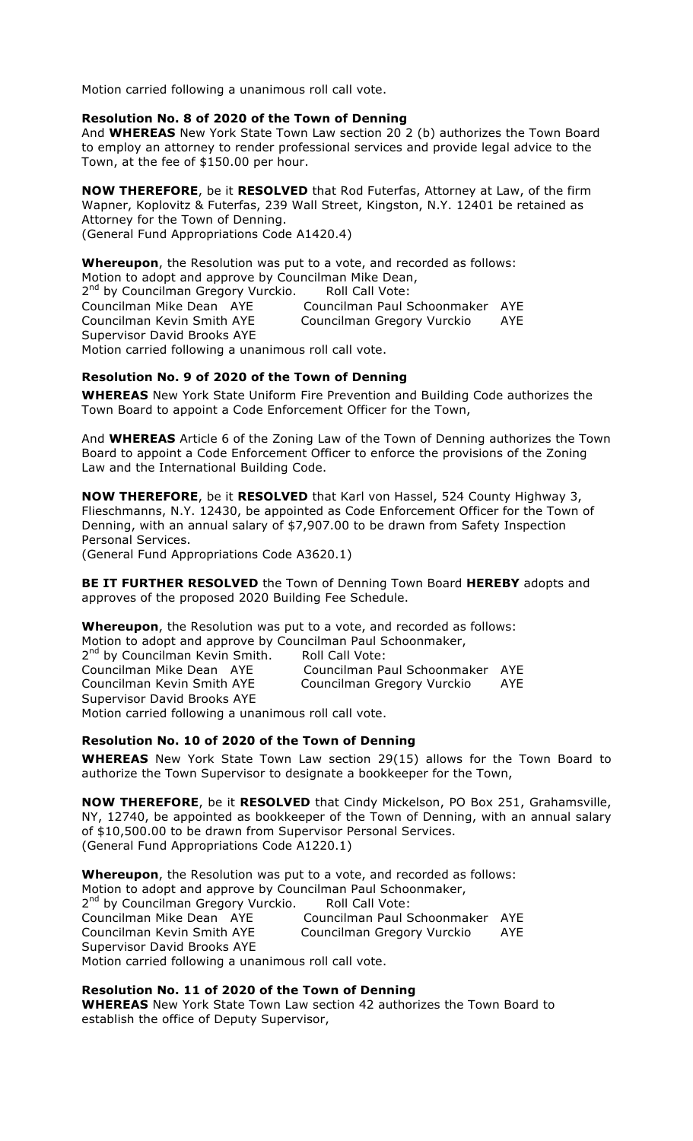#### **Resolution No. 8 of 2020 of the Town of Denning**

And **WHEREAS** New York State Town Law section 20 2 (b) authorizes the Town Board to employ an attorney to render professional services and provide legal advice to the Town, at the fee of \$150.00 per hour.

**NOW THEREFORE**, be it **RESOLVED** that Rod Futerfas, Attorney at Law, of the firm Wapner, Koplovitz & Futerfas, 239 Wall Street, Kingston, N.Y. 12401 be retained as Attorney for the Town of Denning. (General Fund Appropriations Code A1420.4)

**Whereupon**, the Resolution was put to a vote, and recorded as follows: Motion to adopt and approve by Councilman Mike Dean, 2<sup>nd</sup> by Councilman Gregory Vurckio. Roll Call Vote: Councilman Mike Dean AYE Councilman Paul Schoonmaker AYE Councilman Kevin Smith AYE Councilman Gregory Vurckio AYE Supervisor David Brooks AYE Motion carried following a unanimous roll call vote.

### **Resolution No. 9 of 2020 of the Town of Denning**

**WHEREAS** New York State Uniform Fire Prevention and Building Code authorizes the Town Board to appoint a Code Enforcement Officer for the Town,

And **WHEREAS** Article 6 of the Zoning Law of the Town of Denning authorizes the Town Board to appoint a Code Enforcement Officer to enforce the provisions of the Zoning Law and the International Building Code.

**NOW THEREFORE**, be it **RESOLVED** that Karl von Hassel, 524 County Highway 3, Flieschmanns, N.Y. 12430, be appointed as Code Enforcement Officer for the Town of Denning, with an annual salary of \$7,907.00 to be drawn from Safety Inspection Personal Services.

(General Fund Appropriations Code A3620.1)

**BE IT FURTHER RESOLVED** the Town of Denning Town Board **HEREBY** adopts and approves of the proposed 2020 Building Fee Schedule.

**Whereupon**, the Resolution was put to a vote, and recorded as follows: Motion to adopt and approve by Councilman Paul Schoonmaker, 2<sup>nd</sup> by Councilman Kevin Smith. Roll Call Vote: Councilman Mike Dean AYE Councilman Paul Schoonmaker AYE Councilman Kevin Smith AYE Councilman Gregory Vurckio AYE Supervisor David Brooks AYE

Motion carried following a unanimous roll call vote.

#### **Resolution No. 10 of 2020 of the Town of Denning**

**WHEREAS** New York State Town Law section 29(15) allows for the Town Board to authorize the Town Supervisor to designate a bookkeeper for the Town,

**NOW THEREFORE**, be it **RESOLVED** that Cindy Mickelson, PO Box 251, Grahamsville, NY, 12740, be appointed as bookkeeper of the Town of Denning, with an annual salary of \$10,500.00 to be drawn from Supervisor Personal Services. (General Fund Appropriations Code A1220.1)

**Whereupon**, the Resolution was put to a vote, and recorded as follows: Motion to adopt and approve by Councilman Paul Schoonmaker, 2<sup>nd</sup> by Councilman Gregory Vurckio. Councilman Mike Dean AYE Councilman Paul Schoonmaker AYE Councilman Kevin Smith AYE Councilman Gregory Vurckio AYE Supervisor David Brooks AYE Motion carried following a unanimous roll call vote.

## **Resolution No. 11 of 2020 of the Town of Denning**

**WHEREAS** New York State Town Law section 42 authorizes the Town Board to establish the office of Deputy Supervisor,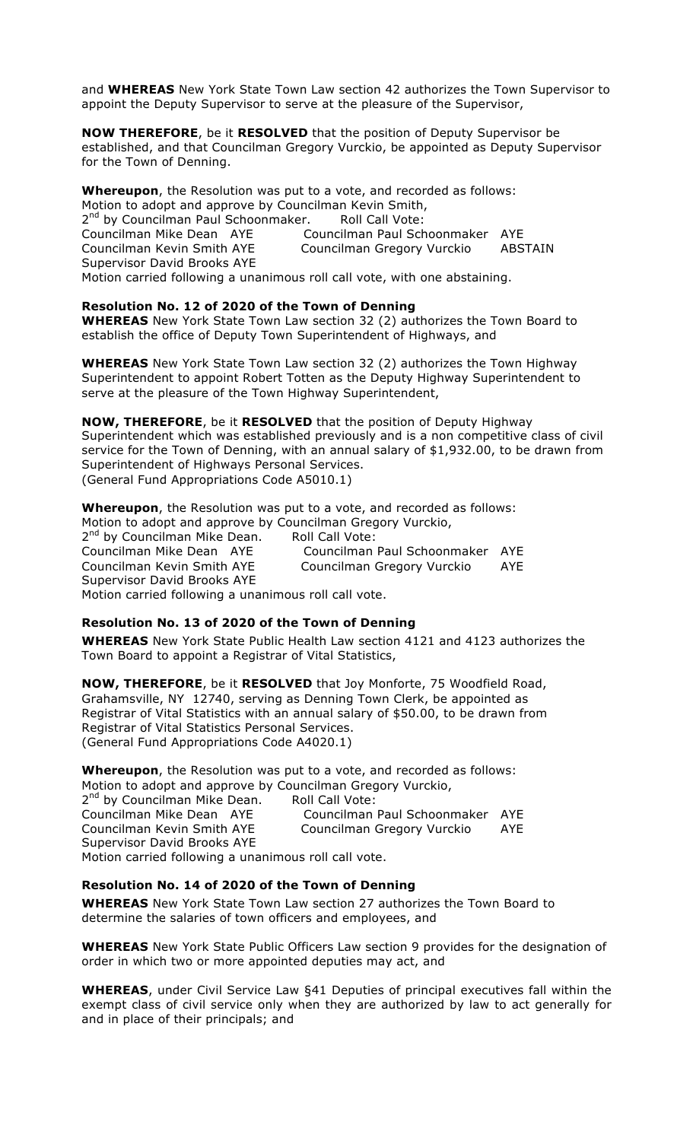and **WHEREAS** New York State Town Law section 42 authorizes the Town Supervisor to appoint the Deputy Supervisor to serve at the pleasure of the Supervisor,

**NOW THEREFORE**, be it **RESOLVED** that the position of Deputy Supervisor be established, and that Councilman Gregory Vurckio, be appointed as Deputy Supervisor for the Town of Denning.

**Whereupon**, the Resolution was put to a vote, and recorded as follows: Motion to adopt and approve by Councilman Kevin Smith, 2<sup>nd</sup> by Councilman Paul Schoonmaker. Roll Call Vote:<br>Councilman Mike Dean AYE Councilman Paul Sch Councilman Paul Schoonmaker AYE Councilman Kevin Smith AYE Councilman Gregory Vurckio ABSTAIN Supervisor David Brooks AYE Motion carried following a unanimous roll call vote, with one abstaining.

#### **Resolution No. 12 of 2020 of the Town of Denning**

**WHEREAS** New York State Town Law section 32 (2) authorizes the Town Board to establish the office of Deputy Town Superintendent of Highways, and

**WHEREAS** New York State Town Law section 32 (2) authorizes the Town Highway Superintendent to appoint Robert Totten as the Deputy Highway Superintendent to serve at the pleasure of the Town Highway Superintendent,

#### **NOW, THEREFORE**, be it **RESOLVED** that the position of Deputy Highway

Superintendent which was established previously and is a non competitive class of civil service for the Town of Denning, with an annual salary of \$1,932.00, to be drawn from Superintendent of Highways Personal Services.

(General Fund Appropriations Code A5010.1)

**Whereupon**, the Resolution was put to a vote, and recorded as follows: Motion to adopt and approve by Councilman Gregory Vurckio, 2<sup>nd</sup> by Councilman Mike Dean. Roll Call Vote:<br>Councilman Mike Dean AYE Councilman Councilman Paul Schoonmaker AYE Councilman Kevin Smith AYE Councilman Gregory Vurckio AYE Supervisor David Brooks AYE Motion carried following a unanimous roll call vote.

## **Resolution No. 13 of 2020 of the Town of Denning**

**WHEREAS** New York State Public Health Law section 4121 and 4123 authorizes the Town Board to appoint a Registrar of Vital Statistics,

**NOW, THEREFORE**, be it **RESOLVED** that Joy Monforte, 75 Woodfield Road, Grahamsville, NY 12740, serving as Denning Town Clerk, be appointed as Registrar of Vital Statistics with an annual salary of \$50.00, to be drawn from Registrar of Vital Statistics Personal Services. (General Fund Appropriations Code A4020.1)

**Whereupon**, the Resolution was put to a vote, and recorded as follows: Motion to adopt and approve by Councilman Gregory Vurckio, 2<sup>nd</sup> by Councilman Mike Dean. Roll Call Vote: Councilman Paul Schoonmaker AYE Councilman Mike Dean AYE Councilman Paul Schoonmaker AYE<br>Councilman Kevin Smith AYE Councilman Gregory Vurckio AYE Supervisor David Brooks AYE Motion carried following a unanimous roll call vote.

#### **Resolution No. 14 of 2020 of the Town of Denning**

**WHEREAS** New York State Town Law section 27 authorizes the Town Board to determine the salaries of town officers and employees, and

**WHEREAS** New York State Public Officers Law section 9 provides for the designation of order in which two or more appointed deputies may act, and

**WHEREAS**, under Civil Service Law §41 Deputies of principal executives fall within the exempt class of civil service only when they are authorized by law to act generally for and in place of their principals; and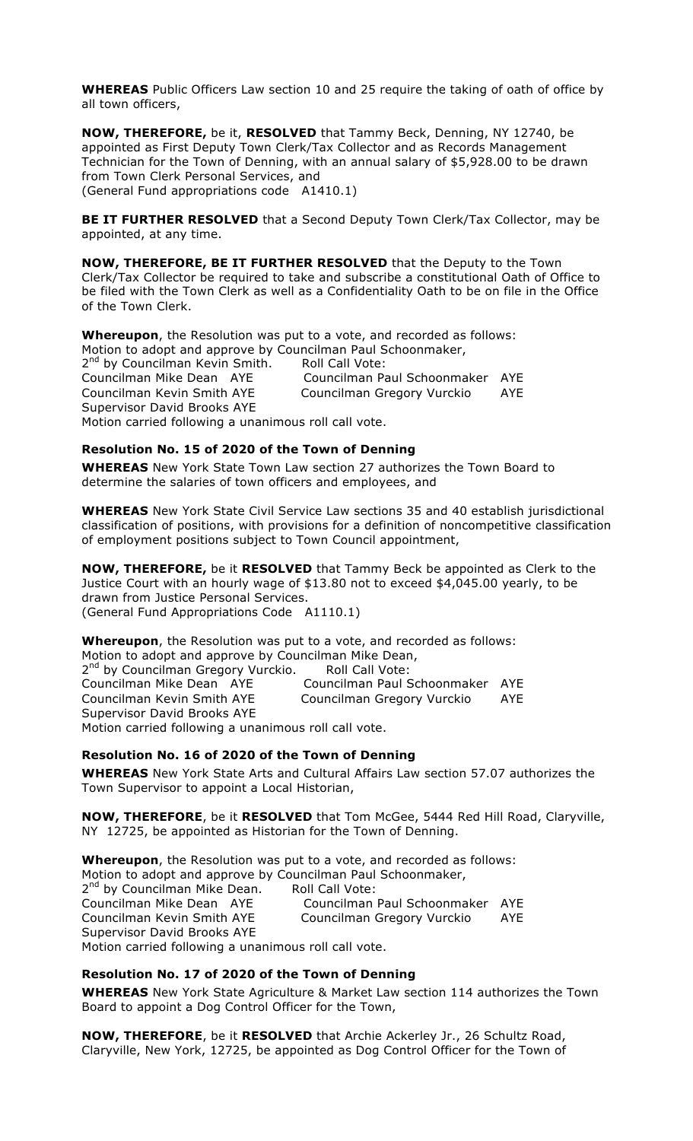**WHEREAS** Public Officers Law section 10 and 25 require the taking of oath of office by all town officers,

**NOW, THEREFORE,** be it, **RESOLVED** that Tammy Beck, Denning, NY 12740, be appointed as First Deputy Town Clerk/Tax Collector and as Records Management Technician for the Town of Denning, with an annual salary of \$5,928.00 to be drawn from Town Clerk Personal Services, and (General Fund appropriations code A1410.1)

**BE IT FURTHER RESOLVED** that a Second Deputy Town Clerk/Tax Collector, may be appointed, at any time.

**NOW, THEREFORE, BE IT FURTHER RESOLVED** that the Deputy to the Town Clerk/Tax Collector be required to take and subscribe a constitutional Oath of Office to be filed with the Town Clerk as well as a Confidentiality Oath to be on file in the Office of the Town Clerk.

**Whereupon**, the Resolution was put to a vote, and recorded as follows: Motion to adopt and approve by Councilman Paul Schoonmaker, 2<sup>nd</sup> by Councilman Kevin Smith. Roll Call Vote: Councilman Mike Dean AYE Councilman Paul Schoonmaker AYE Councilman Kevin Smith AYE Councilman Gregory Vurckio AYE Supervisor David Brooks AYE Motion carried following a unanimous roll call vote.

**Resolution No. 15 of 2020 of the Town of Denning**

**WHEREAS** New York State Town Law section 27 authorizes the Town Board to determine the salaries of town officers and employees, and

**WHEREAS** New York State Civil Service Law sections 35 and 40 establish jurisdictional classification of positions, with provisions for a definition of noncompetitive classification of employment positions subject to Town Council appointment,

**NOW, THEREFORE,** be it **RESOLVED** that Tammy Beck be appointed as Clerk to the Justice Court with an hourly wage of \$13.80 not to exceed \$4,045.00 yearly, to be drawn from Justice Personal Services. (General Fund Appropriations Code A1110.1)

**Whereupon**, the Resolution was put to a vote, and recorded as follows: Motion to adopt and approve by Councilman Mike Dean, 2<sup>nd</sup> by Councilman Gregory Vurckio. Roll Call Vote: Councilman Mike Dean AYE Councilman Paul Schoonmaker AYE Councilman Kevin Smith AYE Councilman Gregory Vurckio AYE Supervisor David Brooks AYE Motion carried following a unanimous roll call vote.

**Resolution No. 16 of 2020 of the Town of Denning**

**WHEREAS** New York State Arts and Cultural Affairs Law section 57.07 authorizes the Town Supervisor to appoint a Local Historian,

**NOW, THEREFORE**, be it **RESOLVED** that Tom McGee, 5444 Red Hill Road, Claryville, NY 12725, be appointed as Historian for the Town of Denning.

**Whereupon**, the Resolution was put to a vote, and recorded as follows: Motion to adopt and approve by Councilman Paul Schoonmaker, 2<sup>nd</sup> by Councilman Mike Dean. Roll Call Vote: Councilman Mike Dean AYE Councilman Paul Schoonmaker AYE Councilman Kevin Smith AYE Councilman Gregory Vurckio AYE Supervisor David Brooks AYE Motion carried following a unanimous roll call vote.

#### **Resolution No. 17 of 2020 of the Town of Denning**

**WHEREAS** New York State Agriculture & Market Law section 114 authorizes the Town Board to appoint a Dog Control Officer for the Town,

**NOW, THEREFORE**, be it **RESOLVED** that Archie Ackerley Jr., 26 Schultz Road, Claryville, New York, 12725, be appointed as Dog Control Officer for the Town of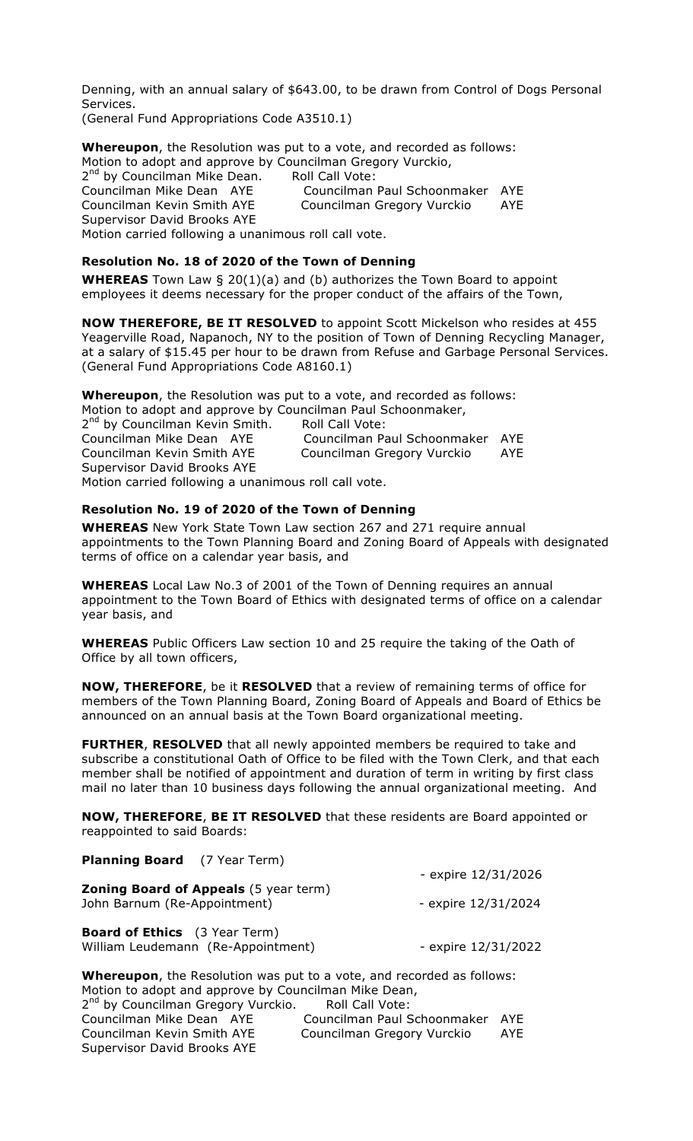Denning, with an annual salary of \$643.00, to be drawn from Control of Dogs Personal Services. (General Fund Appropriations Code A3510.1)

**Whereupon**, the Resolution was put to a vote, and recorded as follows: Motion to adopt and approve by Councilman Gregory Vurckio, 2<sup>nd</sup> by Councilman Mike Dean. Roll Call Vote:

| Councilman Mike Dean AYE                             | Councilman Paul Schoonmaker AYE |     |
|------------------------------------------------------|---------------------------------|-----|
| Councilman Kevin Smith AYE                           | Councilman Gregory Vurckio      | AYE |
| Supervisor David Brooks AYE                          |                                 |     |
| Motion carried following a unanimous roll call vote. |                                 |     |

## **Resolution No. 18 of 2020 of the Town of Denning**

**WHEREAS** Town Law § 20(1)(a) and (b) authorizes the Town Board to appoint employees it deems necessary for the proper conduct of the affairs of the Town,

**NOW THEREFORE, BE IT RESOLVED** to appoint Scott Mickelson who resides at 455 Yeagerville Road, Napanoch, NY to the position of Town of Denning Recycling Manager, at a salary of \$15.45 per hour to be drawn from Refuse and Garbage Personal Services. (General Fund Appropriations Code A8160.1)

**Whereupon**, the Resolution was put to a vote, and recorded as follows: Motion to adopt and approve by Councilman Paul Schoonmaker, 2<sup>nd</sup> by Councilman Kevin Smith. Roll Call Vote:

Councilman Mike Dean AYE Councilman Paul Schoonmaker AYE Councilman Kevin Smith AYE Councilman Gregory Vurckio AYE Supervisor David Brooks AYE Motion carried following a unanimous roll call vote.

## **Resolution No. 19 of 2020 of the Town of Denning**

**WHEREAS** New York State Town Law section 267 and 271 require annual appointments to the Town Planning Board and Zoning Board of Appeals with designated terms of office on a calendar year basis, and

**WHEREAS** Local Law No.3 of 2001 of the Town of Denning requires an annual appointment to the Town Board of Ethics with designated terms of office on a calendar year basis, and

**WHEREAS** Public Officers Law section 10 and 25 require the taking of the Oath of Office by all town officers,

**NOW, THEREFORE**, be it **RESOLVED** that a review of remaining terms of office for members of the Town Planning Board, Zoning Board of Appeals and Board of Ethics be announced on an annual basis at the Town Board organizational meeting.

**FURTHER**, **RESOLVED** that all newly appointed members be required to take and subscribe a constitutional Oath of Office to be filed with the Town Clerk, and that each member shall be notified of appointment and duration of term in writing by first class mail no later than 10 business days following the annual organizational meeting. And

**NOW, THEREFORE**, **BE IT RESOLVED** that these residents are Board appointed or reappointed to said Boards:

| <b>Planning Board</b> (7 Year Term)                                          | - expire 12/31/2026 |  |
|------------------------------------------------------------------------------|---------------------|--|
| <b>Zoning Board of Appeals</b> (5 year term)<br>John Barnum (Re-Appointment) | - expire 12/31/2024 |  |
| <b>Board of Ethics</b> (3 Year Term)<br>William Leudemann (Re-Appointment)   | - expire 12/31/2022 |  |

**Whereupon**, the Resolution was put to a vote, and recorded as follows: Motion to adopt and approve by Councilman Mike Dean, 2<sup>nd</sup> by Councilman Gregory Vurckio. Roll Call Vote: Councilman Mike Dean AYE Councilman Paul Schoonmaker AYE Councilman Kevin Smith AYE Councilman Gregory Vurckio AYE Supervisor David Brooks AYE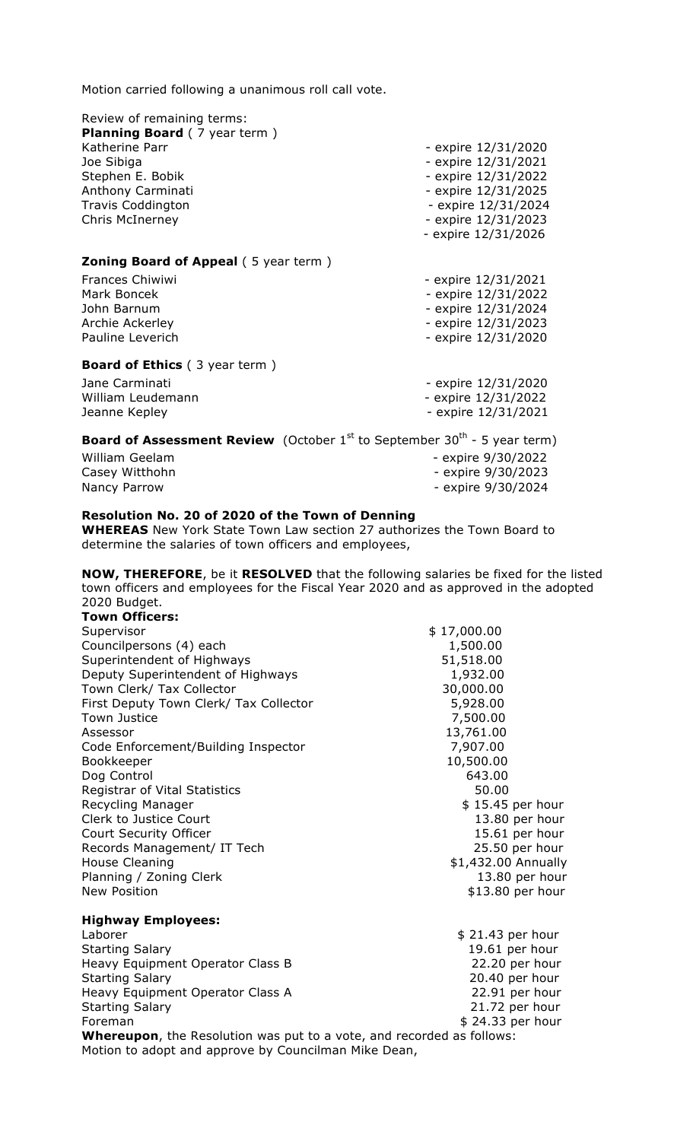| Review of remaining terms:                  |                       |
|---------------------------------------------|-----------------------|
| <b>Planning Board</b> (7 year term)         |                       |
| Katherine Parr                              | - expire 12/31/2020   |
| Joe Sibiga                                  | - expire 12/31/2021   |
| Stephen E. Bobik                            | - expire 12/31/2022   |
| Anthony Carminati                           | - expire $12/31/2025$ |
| <b>Travis Coddington</b>                    | - expire 12/31/2024   |
| <b>Chris McInerney</b>                      | - expire 12/31/2023   |
|                                             | - expire 12/31/2026   |
| <b>Zoning Board of Appeal (5 year term)</b> |                       |
| Frances Chiwiwi                             | - expire 12/31/2021   |
| Mark Boncek                                 | - expire 12/31/2022   |
| John Barnum                                 | - expire 12/31/2024   |
| Archie Ackerley                             | - expire $12/31/2023$ |
| Pauline Leverich                            | - expire 12/31/2020   |
| <b>Board of Ethics</b> (3 year term)        |                       |
| Jane Carminati                              | - expire 12/31/2020   |

| Jane Canninau     | - EXPII E IZIJI ZUZU |
|-------------------|----------------------|
| William Leudemann | - expire 12/31/2022  |
| Jeanne Kepley     | - expire 12/31/2021  |
|                   |                      |

## **Board of Assessment Review** (October 1<sup>st</sup> to September 30<sup>th</sup> - 5 year term)

| William Geelam | - expire 9/30/2022 |
|----------------|--------------------|
| Casey Witthohn | - expire 9/30/2023 |
| Nancy Parrow   | - expire 9/30/2024 |

## **Resolution No. 20 of 2020 of the Town of Denning**

**WHEREAS** New York State Town Law section 27 authorizes the Town Board to determine the salaries of town officers and employees,

**NOW, THEREFORE**, be it **RESOLVED** that the following salaries be fixed for the listed town officers and employees for the Fiscal Year 2020 and as approved in the adopted 2020 Budget.

| <b>Town Officers:</b>                  |                     |
|----------------------------------------|---------------------|
| Supervisor                             | \$17,000.00         |
| Councilpersons (4) each                | 1,500.00            |
| Superintendent of Highways             | 51,518.00           |
| Deputy Superintendent of Highways      | 1,932.00            |
| Town Clerk/ Tax Collector              | 30,000.00           |
| First Deputy Town Clerk/ Tax Collector | 5,928.00            |
| <b>Town Justice</b>                    | 7,500.00            |
| Assessor                               | 13,761.00           |
| Code Enforcement/Building Inspector    | 7,907.00            |
| Bookkeeper                             | 10,500.00           |
| Dog Control                            | 643.00              |
| Registrar of Vital Statistics          | 50.00               |
| Recycling Manager                      | $$15.45$ per hour   |
| Clerk to Justice Court                 | 13.80 per hour      |
| Court Security Officer                 | 15.61 per hour      |
| Records Management/ IT Tech            | 25.50 per hour      |
| House Cleaning                         | \$1,432.00 Annually |
| Planning / Zoning Clerk                | 13.80 per hour      |
| New Position                           | \$13.80 per hour    |
| <b>Highway Employees:</b>              |                     |
| Laborer                                | $$21.43$ per hour   |
| <b>Starting Salary</b>                 | 19.61 per hour      |
| Heavy Equipment Operator Class B       | 22.20 per hour      |
| <b>Starting Salary</b>                 | 20.40 per hour      |
| Heavy Equipment Operator Class A       | 22.91 per hour      |
| <b>Starting Salary</b>                 | 21.72 per hour      |

Foreman \$ 24.33 per hour **Whereupon**, the Resolution was put to a vote, and recorded as follows: Motion to adopt and approve by Councilman Mike Dean,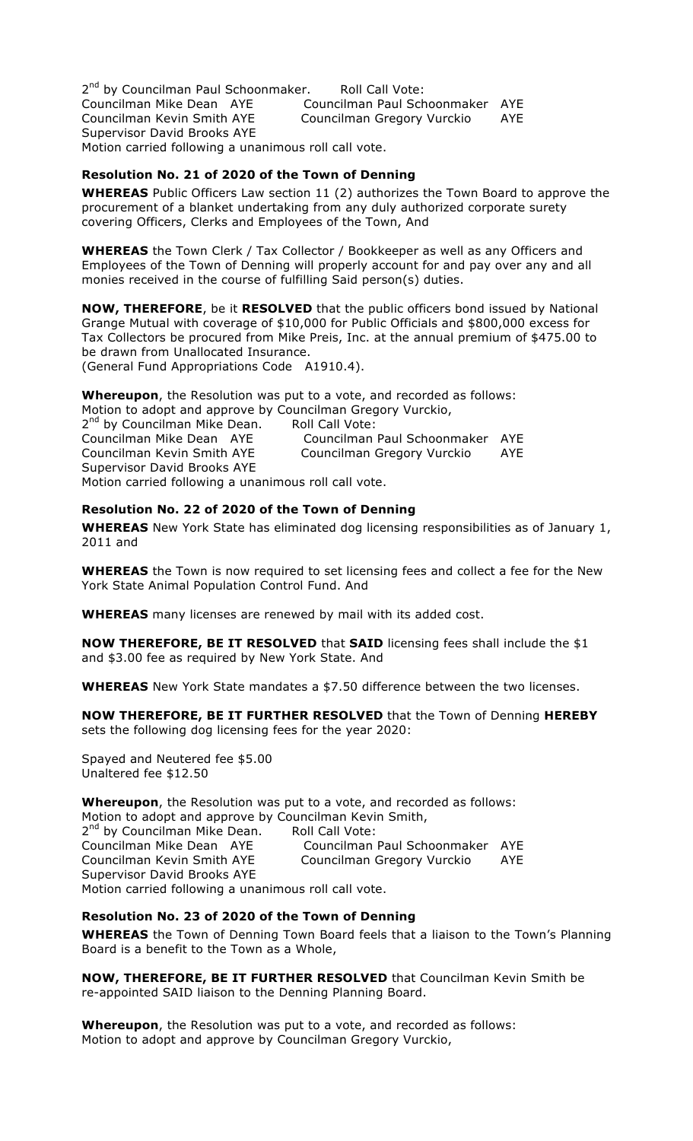2<sup>nd</sup> by Councilman Paul Schoonmaker. Roll Call Vote: Councilman Mike Dean AYE Councilman Paul Schoonmaker AYE Councilman Kevin Smith AYE Councilman Gregory Vurckio AYE Supervisor David Brooks AYE Motion carried following a unanimous roll call vote.

## **Resolution No. 21 of 2020 of the Town of Denning**

**WHEREAS** Public Officers Law section 11 (2) authorizes the Town Board to approve the procurement of a blanket undertaking from any duly authorized corporate surety covering Officers, Clerks and Employees of the Town, And

**WHEREAS** the Town Clerk / Tax Collector / Bookkeeper as well as any Officers and Employees of the Town of Denning will properly account for and pay over any and all monies received in the course of fulfilling Said person(s) duties.

**NOW, THEREFORE**, be it **RESOLVED** that the public officers bond issued by National Grange Mutual with coverage of \$10,000 for Public Officials and \$800,000 excess for Tax Collectors be procured from Mike Preis, Inc. at the annual premium of \$475.00 to be drawn from Unallocated Insurance.

(General Fund Appropriations Code A1910.4).

**Whereupon**, the Resolution was put to a vote, and recorded as follows:

Motion to adopt and approve by Councilman Gregory Vurckio, 2<sup>nd</sup> by Councilman Mike Dean. Roll Call Vote: Councilman Mike Dean AYE Councilman Paul Schoonmaker AYE Councilman Kevin Smith AYE Councilman Gregory Vurckio AYE Supervisor David Brooks AYE Motion carried following a unanimous roll call vote.

### **Resolution No. 22 of 2020 of the Town of Denning**

**WHEREAS** New York State has eliminated dog licensing responsibilities as of January 1, 2011 and

**WHEREAS** the Town is now required to set licensing fees and collect a fee for the New York State Animal Population Control Fund. And

**WHEREAS** many licenses are renewed by mail with its added cost.

**NOW THEREFORE, BE IT RESOLVED** that **SAID** licensing fees shall include the \$1 and \$3.00 fee as required by New York State. And

**WHEREAS** New York State mandates a \$7.50 difference between the two licenses.

**NOW THEREFORE, BE IT FURTHER RESOLVED** that the Town of Denning **HEREBY** sets the following dog licensing fees for the year 2020:

Spayed and Neutered fee \$5.00 Unaltered fee \$12.50

**Whereupon**, the Resolution was put to a vote, and recorded as follows: Motion to adopt and approve by Councilman Kevin Smith, 2<sup>nd</sup> by Councilman Mike Dean. Roll Call Vote:<br>Councilman Mike Dean AYE Councilman Councilman Paul Schoonmaker AYE Councilman Kevin Smith AYE Councilman Gregory Vurckio AYE Supervisor David Brooks AYE Motion carried following a unanimous roll call vote.

## **Resolution No. 23 of 2020 of the Town of Denning**

**WHEREAS** the Town of Denning Town Board feels that a liaison to the Town's Planning Board is a benefit to the Town as a Whole,

**NOW, THEREFORE, BE IT FURTHER RESOLVED** that Councilman Kevin Smith be re-appointed SAID liaison to the Denning Planning Board.

**Whereupon**, the Resolution was put to a vote, and recorded as follows: Motion to adopt and approve by Councilman Gregory Vurckio,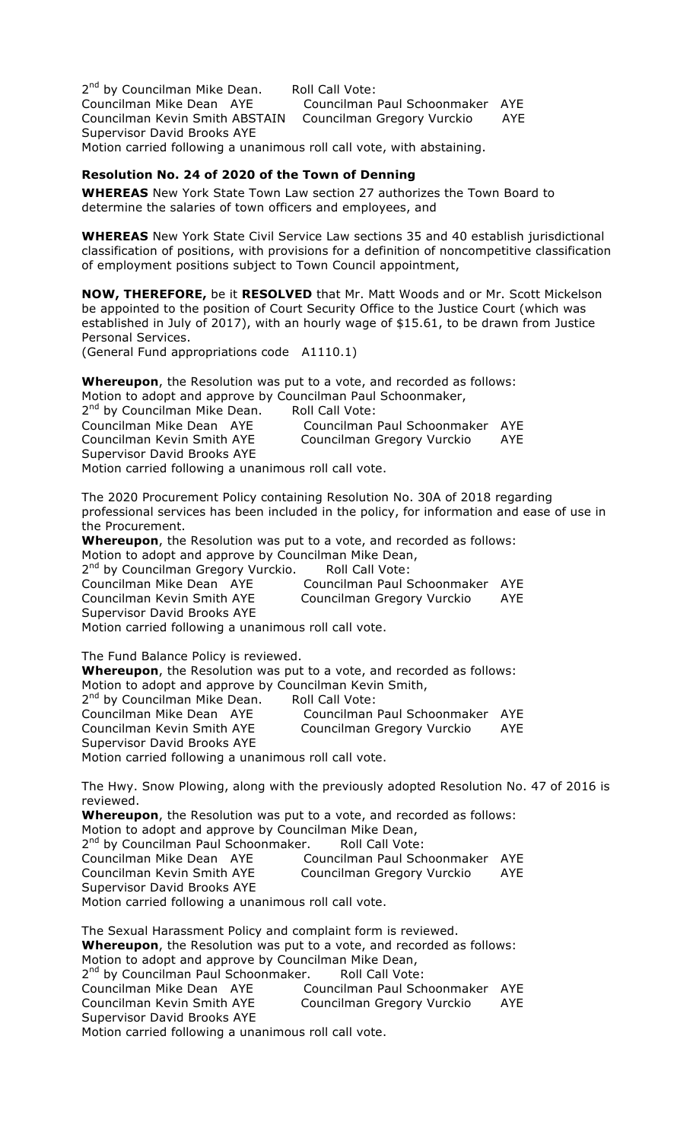2<sup>nd</sup> by Councilman Mike Dean. Roll Call Vote: Councilman Mike Dean AYE Councilman Paul Schoonmaker AYE Councilman Kevin Smith ABSTAIN Councilman Gregory Vurckio AYE Supervisor David Brooks AYE Motion carried following a unanimous roll call vote, with abstaining.

## **Resolution No. 24 of 2020 of the Town of Denning**

**WHEREAS** New York State Town Law section 27 authorizes the Town Board to determine the salaries of town officers and employees, and

**WHEREAS** New York State Civil Service Law sections 35 and 40 establish jurisdictional classification of positions, with provisions for a definition of noncompetitive classification of employment positions subject to Town Council appointment,

**NOW, THEREFORE,** be it **RESOLVED** that Mr. Matt Woods and or Mr. Scott Mickelson be appointed to the position of Court Security Office to the Justice Court (which was established in July of 2017), with an hourly wage of \$15.61, to be drawn from Justice Personal Services.

(General Fund appropriations code A1110.1)

**Whereupon**, the Resolution was put to a vote, and recorded as follows: Motion to adopt and approve by Councilman Paul Schoonmaker,

| 2 <sup>nd</sup> by Councilman Mike Dean.             | Roll Call Vote:                 |     |
|------------------------------------------------------|---------------------------------|-----|
| Councilman Mike Dean AYE                             | Councilman Paul Schoonmaker AYE |     |
| Councilman Kevin Smith AYE                           | Councilman Gregory Vurckio      | AYE |
| Supervisor David Brooks AYE                          |                                 |     |
| Motion carried following a unanimous roll call vote. |                                 |     |

The 2020 Procurement Policy containing Resolution No. 30A of 2018 regarding professional services has been included in the policy, for information and ease of use in the Procurement.

**Whereupon**, the Resolution was put to a vote, and recorded as follows: Motion to adopt and approve by Councilman Mike Dean,

2<sup>nd</sup> by Councilman Gregory Vurckio. Roll Call Vote: Councilman Mike Dean AYE Councilman Paul Schoonmaker AYE Councilman Kevin Smith AYE Councilman Gregory Vurckio AYE Supervisor David Brooks AYE Motion carried following a unanimous roll call vote.

The Fund Balance Policy is reviewed. **Whereupon**, the Resolution was put to a vote, and recorded as follows: Motion to adopt and approve by Councilman Kevin Smith, 2<sup>nd</sup> by Councilman Mike Dean. Roll Call Vote: Councilman Mike Dean AYE Councilman Paul Schoonmaker AYE Councilman Kevin Smith AYE Councilman Gregory Vurckio AYE Supervisor David Brooks AYE Motion carried following a unanimous roll call vote.

The Hwy. Snow Plowing, along with the previously adopted Resolution No. 47 of 2016 is reviewed.

**Whereupon**, the Resolution was put to a vote, and recorded as follows: Motion to adopt and approve by Councilman Mike Dean, 2<sup>nd</sup> by Councilman Paul Schoonmaker. Roll Call Vote: Councilman Mike Dean AYE Councilman Paul Schoonmaker AYE Councilman Kevin Smith AYE Councilman Gregory Vurckio AYE Supervisor David Brooks AYE Motion carried following a unanimous roll call vote.

The Sexual Harassment Policy and complaint form is reviewed. **Whereupon**, the Resolution was put to a vote, and recorded as follows: Motion to adopt and approve by Councilman Mike Dean, 2<sup>nd</sup> by Councilman Paul Schoonmaker. Roll Call Vote: Councilman Mike Dean AYE Councilman Paul Schoonmaker AYE Councilman Kevin Smith AYE Councilman Gregory Vurckio AYE Supervisor David Brooks AYE Motion carried following a unanimous roll call vote.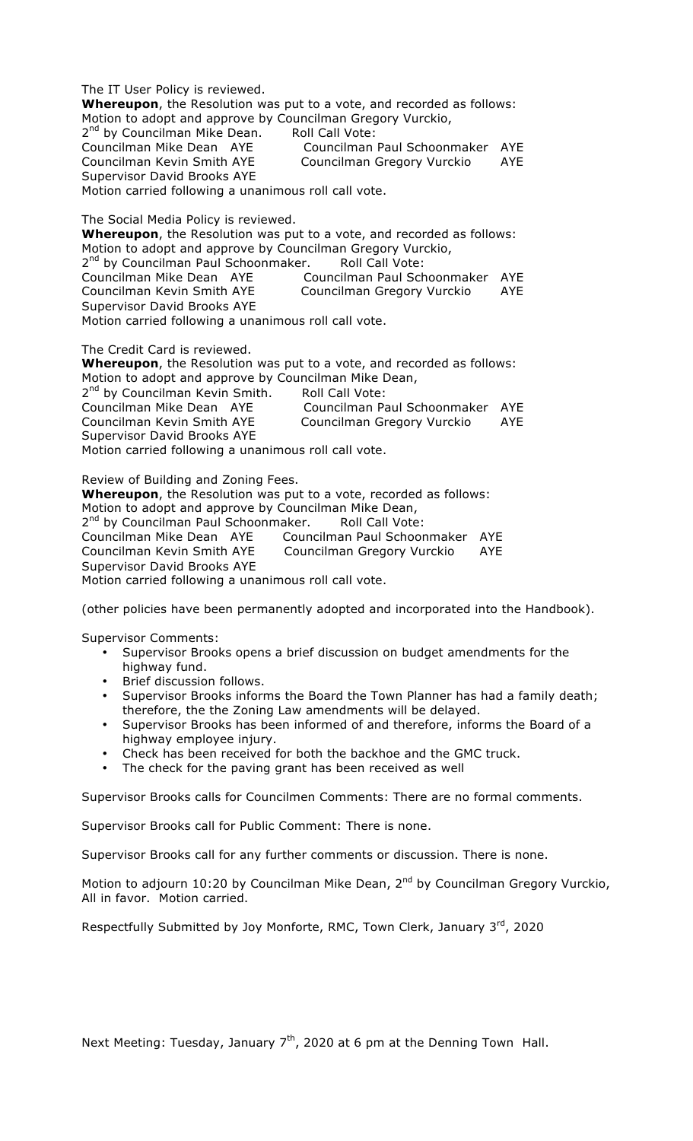The IT User Policy is reviewed. **Whereupon**, the Resolution was put to a vote, and recorded as follows: Motion to adopt and approve by Councilman Gregory Vurckio, 2<sup>nd</sup> by Councilman Mike Dean. Roll Call Vote: Councilman Mike Dean AYE Councilman Paul Schoonmaker AYE Councilman Kevin Smith AYE Councilman Gregory Vurckio AYE Supervisor David Brooks AYE Motion carried following a unanimous roll call vote.

The Social Media Policy is reviewed.

**Whereupon**, the Resolution was put to a vote, and recorded as follows: Motion to adopt and approve by Councilman Gregory Vurckio, 2<sup>nd</sup> by Councilman Paul Schoonmaker. Roll Call Vote: Councilman Mike Dean AYE Councilman Paul Schoonmaker AYE Councilman Kevin Smith AYE Councilman Gregory Vurckio AYE Supervisor David Brooks AYE Motion carried following a unanimous roll call vote.

The Credit Card is reviewed.

**Whereupon**, the Resolution was put to a vote, and recorded as follows: Motion to adopt and approve by Councilman Mike Dean,

| 2 <sup>nd</sup> by Councilman Kevin Smith.           | Roll Call Vote:                 |     |
|------------------------------------------------------|---------------------------------|-----|
| Councilman Mike Dean AYE                             | Councilman Paul Schoonmaker AYE |     |
| Councilman Kevin Smith AYE                           | Councilman Gregory Vurckio      | AYE |
| Supervisor David Brooks AYE                          |                                 |     |
| Motion carried following a unanimous roll call vote. |                                 |     |

Review of Building and Zoning Fees.

**Whereupon**, the Resolution was put to a vote, recorded as follows: Motion to adopt and approve by Councilman Mike Dean, 2<sup>nd</sup> by Councilman Paul Schoonmaker. Roll Call Vote:

Councilman Mike Dean AYE Councilman Paul Schoonmaker AYE Councilman Kevin Smith AYE Councilman Gregory Vurckio AYE Supervisor David Brooks AYE Motion carried following a unanimous roll call vote.

(other policies have been permanently adopted and incorporated into the Handbook).

Supervisor Comments:

- Supervisor Brooks opens a brief discussion on budget amendments for the highway fund.
- Brief discussion follows.
- Supervisor Brooks informs the Board the Town Planner has had a family death; therefore, the the Zoning Law amendments will be delayed.
- Supervisor Brooks has been informed of and therefore, informs the Board of a highway employee injury.
- Check has been received for both the backhoe and the GMC truck.
- The check for the paving grant has been received as well

Supervisor Brooks calls for Councilmen Comments: There are no formal comments.

Supervisor Brooks call for Public Comment: There is none.

Supervisor Brooks call for any further comments or discussion. There is none.

Motion to adjourn 10:20 by Councilman Mike Dean, 2<sup>nd</sup> by Councilman Gregory Vurckio, All in favor. Motion carried.

Respectfully Submitted by Joy Monforte, RMC, Town Clerk, January  $3<sup>rd</sup>$ , 2020

Next Meeting: Tuesday, January  $7<sup>th</sup>$ , 2020 at 6 pm at the Denning Town Hall.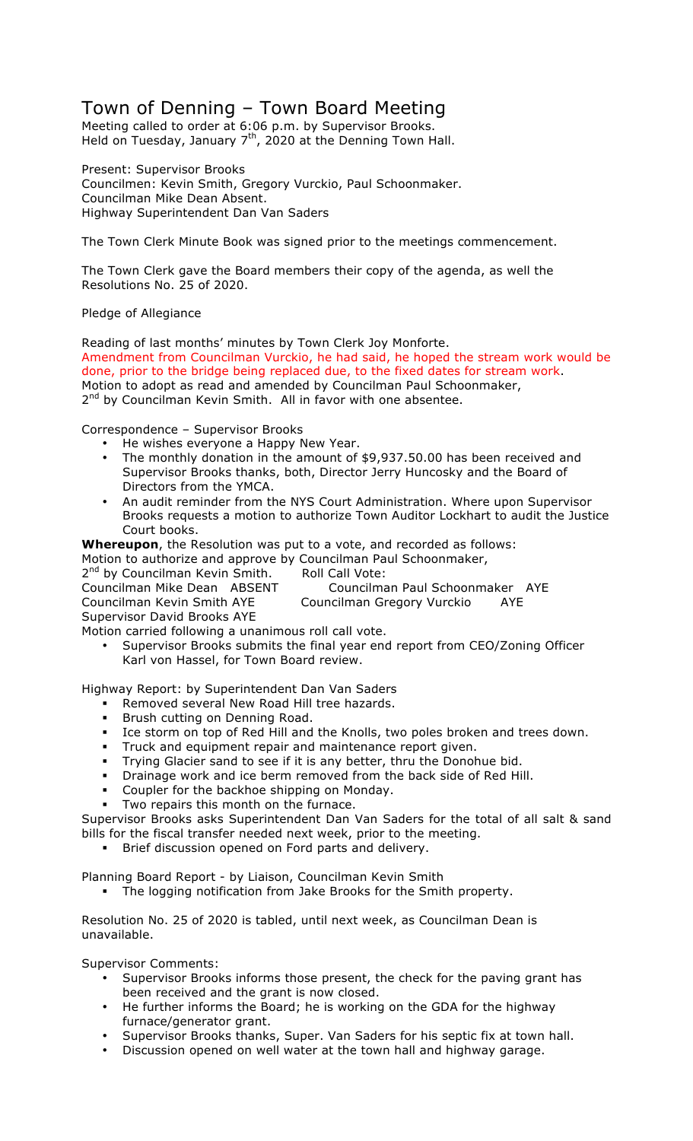# Town of Denning – Town Board Meeting

Meeting called to order at 6:06 p.m. by Supervisor Brooks. Held on Tuesday, January  $7<sup>th</sup>$ , 2020 at the Denning Town Hall.

Present: Supervisor Brooks Councilmen: Kevin Smith, Gregory Vurckio, Paul Schoonmaker. Councilman Mike Dean Absent. Highway Superintendent Dan Van Saders

The Town Clerk Minute Book was signed prior to the meetings commencement.

The Town Clerk gave the Board members their copy of the agenda, as well the Resolutions No. 25 of 2020.

Pledge of Allegiance

Reading of last months' minutes by Town Clerk Joy Monforte. Amendment from Councilman Vurckio, he had said, he hoped the stream work would be done, prior to the bridge being replaced due, to the fixed dates for stream work. Motion to adopt as read and amended by Councilman Paul Schoonmaker, 2<sup>nd</sup> by Councilman Kevin Smith. All in favor with one absentee.

Correspondence – Supervisor Brooks

- He wishes everyone a Happy New Year.
- The monthly donation in the amount of \$9,937.50.00 has been received and Supervisor Brooks thanks, both, Director Jerry Huncosky and the Board of Directors from the YMCA.
- An audit reminder from the NYS Court Administration. Where upon Supervisor Brooks requests a motion to authorize Town Auditor Lockhart to audit the Justice Court books.

**Whereupon**, the Resolution was put to a vote, and recorded as follows:

Motion to authorize and approve by Councilman Paul Schoonmaker,

2<sup>nd</sup> by Councilman Kevin Smith. Roll Call Vote: Councilman Mike Dean ABSENT Councilman Paul Schoonmaker AYE Councilman Kevin Smith AYE Councilman Gregory Vurckio AYE

Supervisor David Brooks AYE

Motion carried following a unanimous roll call vote.

• Supervisor Brooks submits the final year end report from CEO/Zoning Officer Karl von Hassel, for Town Board review.

Highway Report: by Superintendent Dan Van Saders

- Removed several New Road Hill tree hazards.
- **Brush cutting on Denning Road.**
- ! Ice storm on top of Red Hill and the Knolls, two poles broken and trees down.
- ! Truck and equipment repair and maintenance report given.
- ! Trying Glacier sand to see if it is any better, thru the Donohue bid.
- ! Drainage work and ice berm removed from the back side of Red Hill.
- Coupler for the backhoe shipping on Monday.
- Two repairs this month on the furnace.

Supervisor Brooks asks Superintendent Dan Van Saders for the total of all salt & sand bills for the fiscal transfer needed next week, prior to the meeting.

Brief discussion opened on Ford parts and delivery.

Planning Board Report - by Liaison, Councilman Kevin Smith

The logging notification from Jake Brooks for the Smith property.

Resolution No. 25 of 2020 is tabled, until next week, as Councilman Dean is unavailable.

Supervisor Comments:

- Supervisor Brooks informs those present, the check for the paving grant has been received and the grant is now closed.
- He further informs the Board; he is working on the GDA for the highway furnace/generator grant.
- Supervisor Brooks thanks, Super. Van Saders for his septic fix at town hall.
- Discussion opened on well water at the town hall and highway garage.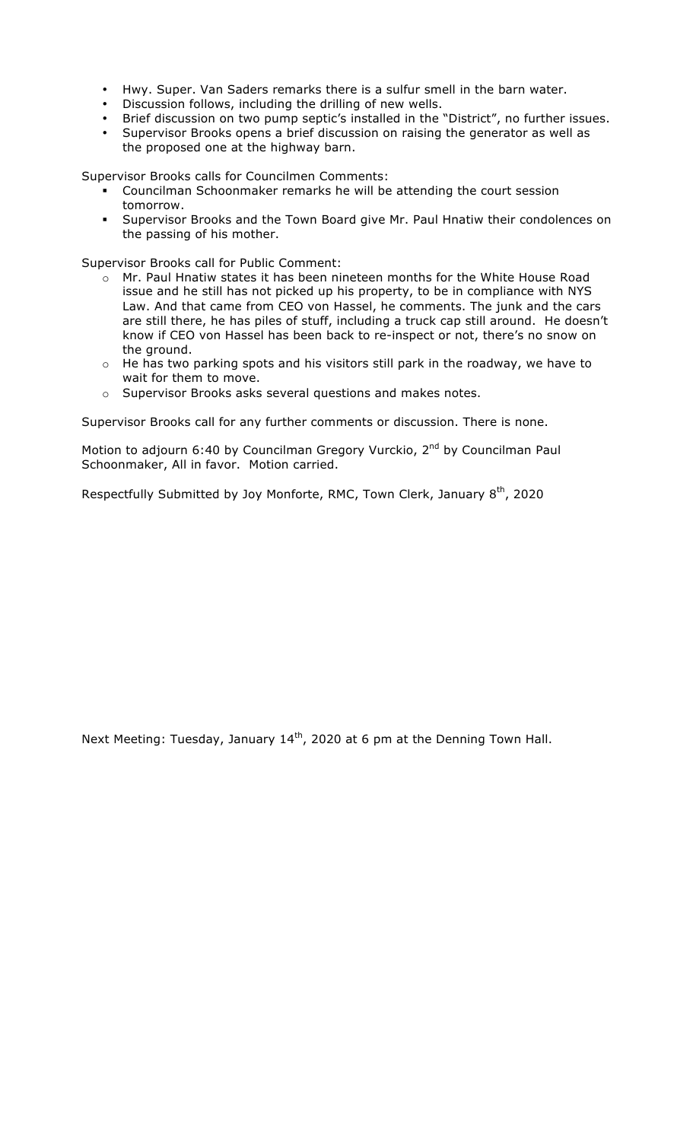- Hwy. Super. Van Saders remarks there is a sulfur smell in the barn water.
- Discussion follows, including the drilling of new wells.
- Brief discussion on two pump septic's installed in the "District", no further issues.
- Supervisor Brooks opens a brief discussion on raising the generator as well as the proposed one at the highway barn.

Supervisor Brooks calls for Councilmen Comments:

- ! Councilman Schoonmaker remarks he will be attending the court session tomorrow.
- ! Supervisor Brooks and the Town Board give Mr. Paul Hnatiw their condolences on the passing of his mother.

Supervisor Brooks call for Public Comment:

- o Mr. Paul Hnatiw states it has been nineteen months for the White House Road issue and he still has not picked up his property, to be in compliance with NYS Law. And that came from CEO von Hassel, he comments. The junk and the cars are still there, he has piles of stuff, including a truck cap still around. He doesn't know if CEO von Hassel has been back to re-inspect or not, there's no snow on the ground.
- $\circ$  He has two parking spots and his visitors still park in the roadway, we have to wait for them to move.
- o Supervisor Brooks asks several questions and makes notes.

Supervisor Brooks call for any further comments or discussion. There is none.

Motion to adjourn 6:40 by Councilman Gregory Vurckio, 2<sup>nd</sup> by Councilman Paul Schoonmaker, All in favor. Motion carried.

Respectfully Submitted by Joy Monforte, RMC, Town Clerk, January  $8<sup>th</sup>$ , 2020

Next Meeting: Tuesday, January 14<sup>th</sup>, 2020 at 6 pm at the Denning Town Hall.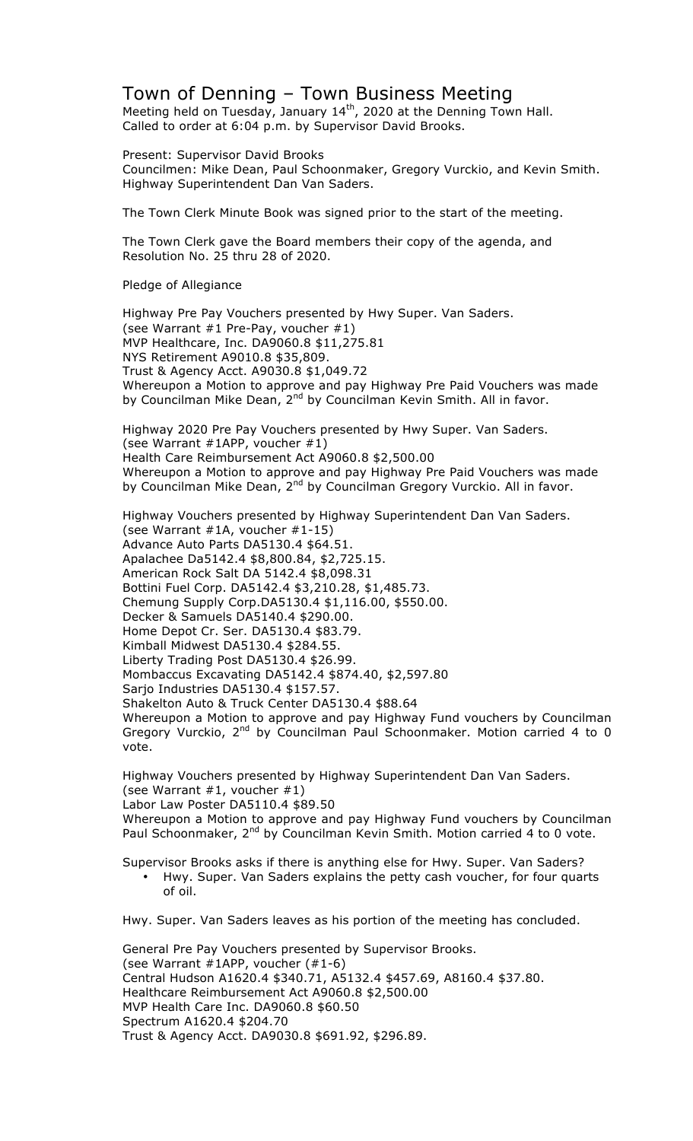## Town of Denning – Town Business Meeting

Meeting held on Tuesday, January  $14<sup>th</sup>$ , 2020 at the Denning Town Hall. Called to order at 6:04 p.m. by Supervisor David Brooks.

Present: Supervisor David Brooks Councilmen: Mike Dean, Paul Schoonmaker, Gregory Vurckio, and Kevin Smith. Highway Superintendent Dan Van Saders.

The Town Clerk Minute Book was signed prior to the start of the meeting.

The Town Clerk gave the Board members their copy of the agenda, and Resolution No. 25 thru 28 of 2020.

Pledge of Allegiance

Highway Pre Pay Vouchers presented by Hwy Super. Van Saders. (see Warrant #1 Pre-Pay, voucher #1) MVP Healthcare, Inc. DA9060.8 \$11,275.81 NYS Retirement A9010.8 \$35,809. Trust & Agency Acct. A9030.8 \$1,049.72 Whereupon a Motion to approve and pay Highway Pre Paid Vouchers was made by Councilman Mike Dean, 2<sup>nd</sup> by Councilman Kevin Smith. All in favor.

Highway 2020 Pre Pay Vouchers presented by Hwy Super. Van Saders. (see Warrant #1APP, voucher #1) Health Care Reimbursement Act A9060.8 \$2,500.00 Whereupon a Motion to approve and pay Highway Pre Paid Vouchers was made by Councilman Mike Dean, 2<sup>nd</sup> by Councilman Gregory Vurckio. All in favor.

Highway Vouchers presented by Highway Superintendent Dan Van Saders. (see Warrant #1A, voucher #1-15) Advance Auto Parts DA5130.4 \$64.51. Apalachee Da5142.4 \$8,800.84, \$2,725.15. American Rock Salt DA 5142.4 \$8,098.31 Bottini Fuel Corp. DA5142.4 \$3,210.28, \$1,485.73. Chemung Supply Corp.DA5130.4 \$1,116.00, \$550.00. Decker & Samuels DA5140.4 \$290.00. Home Depot Cr. Ser. DA5130.4 \$83.79. Kimball Midwest DA5130.4 \$284.55. Liberty Trading Post DA5130.4 \$26.99. Mombaccus Excavating DA5142.4 \$874.40, \$2,597.80 Sarjo Industries DA5130.4 \$157.57. Shakelton Auto & Truck Center DA5130.4 \$88.64 Whereupon a Motion to approve and pay Highway Fund vouchers by Councilman Gregory Vurckio, 2<sup>nd</sup> by Councilman Paul Schoonmaker. Motion carried 4 to 0 vote.

Highway Vouchers presented by Highway Superintendent Dan Van Saders. (see Warrant  $#1$ , voucher  $#1$ ) Labor Law Poster DA5110.4 \$89.50 Whereupon a Motion to approve and pay Highway Fund vouchers by Councilman

Paul Schoonmaker, 2<sup>nd</sup> by Councilman Kevin Smith. Motion carried 4 to 0 vote.

Supervisor Brooks asks if there is anything else for Hwy. Super. Van Saders? • Hwy. Super. Van Saders explains the petty cash voucher, for four quarts of oil.

Hwy. Super. Van Saders leaves as his portion of the meeting has concluded.

General Pre Pay Vouchers presented by Supervisor Brooks. (see Warrant #1APP, voucher (#1-6) Central Hudson A1620.4 \$340.71, A5132.4 \$457.69, A8160.4 \$37.80. Healthcare Reimbursement Act A9060.8 \$2,500.00 MVP Health Care Inc. DA9060.8 \$60.50 Spectrum A1620.4 \$204.70 Trust & Agency Acct. DA9030.8 \$691.92, \$296.89.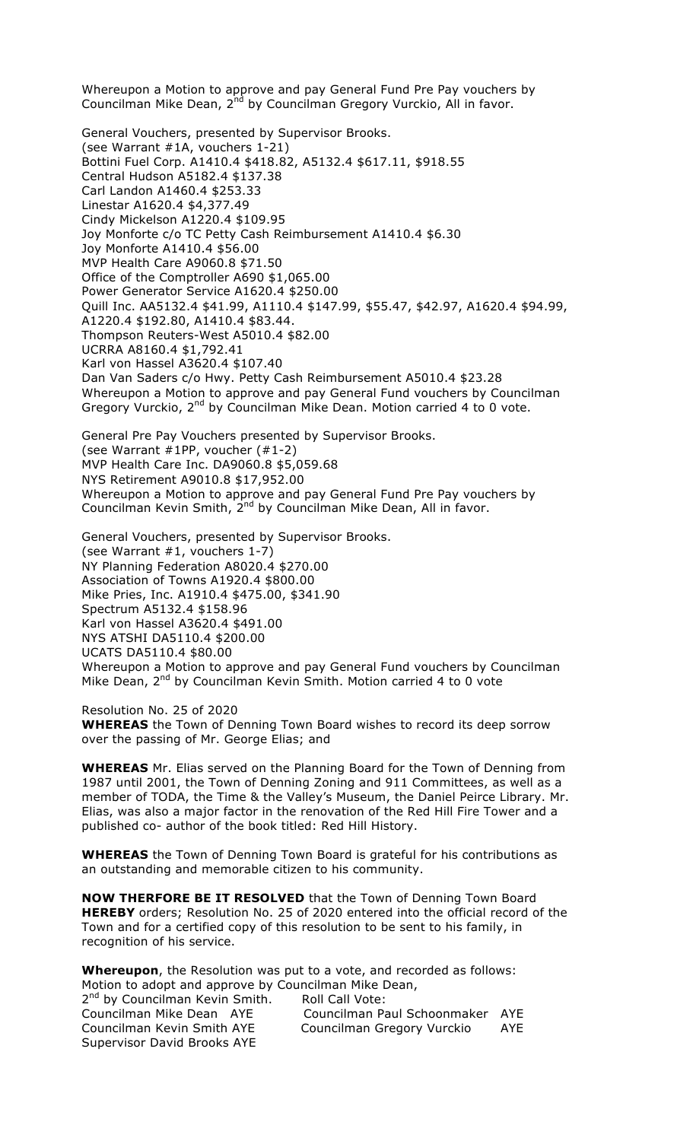Whereupon a Motion to approve and pay General Fund Pre Pay vouchers by Councilman Mike Dean, 2<sup>nd</sup> by Councilman Gregory Vurckio, All in favor.

General Vouchers, presented by Supervisor Brooks. (see Warrant #1A, vouchers 1-21) Bottini Fuel Corp. A1410.4 \$418.82, A5132.4 \$617.11, \$918.55 Central Hudson A5182.4 \$137.38 Carl Landon A1460.4 \$253.33 Linestar A1620.4 \$4,377.49 Cindy Mickelson A1220.4 \$109.95 Joy Monforte c/o TC Petty Cash Reimbursement A1410.4 \$6.30 Joy Monforte A1410.4 \$56.00 MVP Health Care A9060.8 \$71.50 Office of the Comptroller A690 \$1,065.00 Power Generator Service A1620.4 \$250.00 Quill Inc. AA5132.4 \$41.99, A1110.4 \$147.99, \$55.47, \$42.97, A1620.4 \$94.99, A1220.4 \$192.80, A1410.4 \$83.44. Thompson Reuters-West A5010.4 \$82.00 UCRRA A8160.4 \$1,792.41 Karl von Hassel A3620.4 \$107.40 Dan Van Saders c/o Hwy. Petty Cash Reimbursement A5010.4 \$23.28 Whereupon a Motion to approve and pay General Fund vouchers by Councilman Gregory Vurckio,  $2^{nd}$  by Councilman Mike Dean. Motion carried 4 to 0 vote.

General Pre Pay Vouchers presented by Supervisor Brooks. (see Warrant #1PP, voucher (#1-2) MVP Health Care Inc. DA9060.8 \$5,059.68 NYS Retirement A9010.8 \$17,952.00 Whereupon a Motion to approve and pay General Fund Pre Pay vouchers by Councilman Kevin Smith, 2<sup>nd</sup> by Councilman Mike Dean, All in favor.

General Vouchers, presented by Supervisor Brooks. (see Warrant #1, vouchers 1-7) NY Planning Federation A8020.4 \$270.00 Association of Towns A1920.4 \$800.00 Mike Pries, Inc. A1910.4 \$475.00, \$341.90 Spectrum A5132.4 \$158.96 Karl von Hassel A3620.4 \$491.00 NYS ATSHI DA5110.4 \$200.00 UCATS DA5110.4 \$80.00 Whereupon a Motion to approve and pay General Fund vouchers by Councilman Mike Dean, 2<sup>nd</sup> by Councilman Kevin Smith. Motion carried 4 to 0 vote

Resolution No. 25 of 2020 **WHEREAS** the Town of Denning Town Board wishes to record its deep sorrow over the passing of Mr. George Elias; and

**WHEREAS** Mr. Elias served on the Planning Board for the Town of Denning from 1987 until 2001, the Town of Denning Zoning and 911 Committees, as well as a member of TODA, the Time & the Valley's Museum, the Daniel Peirce Library. Mr. Elias, was also a major factor in the renovation of the Red Hill Fire Tower and a published co- author of the book titled: Red Hill History.

**WHEREAS** the Town of Denning Town Board is grateful for his contributions as an outstanding and memorable citizen to his community.

**NOW THERFORE BE IT RESOLVED** that the Town of Denning Town Board **HEREBY** orders; Resolution No. 25 of 2020 entered into the official record of the Town and for a certified copy of this resolution to be sent to his family, in recognition of his service.

**Whereupon**, the Resolution was put to a vote, and recorded as follows: Motion to adopt and approve by Councilman Mike Dean,

2<sup>nd</sup> by Councilman Kevin Smith. Roll Call Vote: Councilman Mike Dean AYE Councilman Paul Schoonmaker AYE Councilman Kevin Smith AYE Councilman Gregory Vurckio AYE Supervisor David Brooks AYE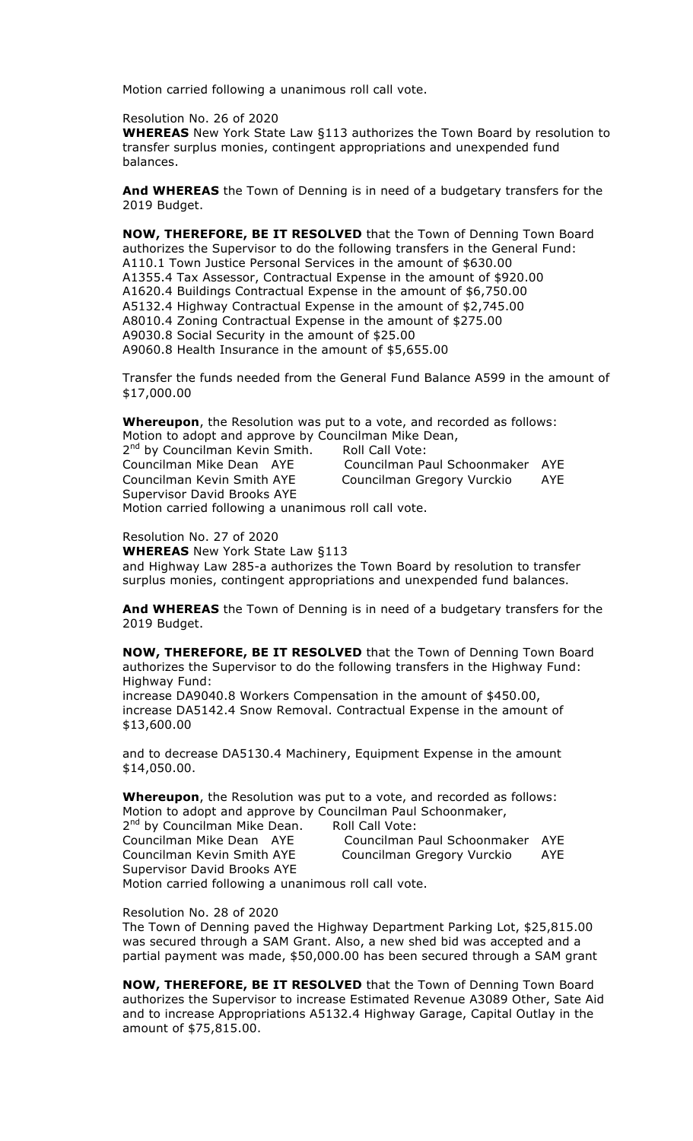Resolution No. 26 of 2020

**WHEREAS** New York State Law §113 authorizes the Town Board by resolution to transfer surplus monies, contingent appropriations and unexpended fund balances.

**And WHEREAS** the Town of Denning is in need of a budgetary transfers for the 2019 Budget.

**NOW, THEREFORE, BE IT RESOLVED** that the Town of Denning Town Board authorizes the Supervisor to do the following transfers in the General Fund: A110.1 Town Justice Personal Services in the amount of \$630.00 A1355.4 Tax Assessor, Contractual Expense in the amount of \$920.00 A1620.4 Buildings Contractual Expense in the amount of \$6,750.00 A5132.4 Highway Contractual Expense in the amount of \$2,745.00 A8010.4 Zoning Contractual Expense in the amount of \$275.00 A9030.8 Social Security in the amount of \$25.00 A9060.8 Health Insurance in the amount of \$5,655.00

Transfer the funds needed from the General Fund Balance A599 in the amount of \$17,000.00

**Whereupon**, the Resolution was put to a vote, and recorded as follows: Motion to adopt and approve by Councilman Mike Dean,

2<sup>nd</sup> by Councilman Kevin Smith. Roll Call Vote: Councilman Mike Dean AYE Councilman Paul Schoonmaker AYE Councilman Kevin Smith AYE Councilman Gregory Vurckio AYE Supervisor David Brooks AYE Motion carried following a unanimous roll call vote.

Resolution No. 27 of 2020 **WHEREAS** New York State Law §113 and Highway Law 285-a authorizes the Town Board by resolution to transfer surplus monies, contingent appropriations and unexpended fund balances.

**And WHEREAS** the Town of Denning is in need of a budgetary transfers for the 2019 Budget.

**NOW, THEREFORE, BE IT RESOLVED** that the Town of Denning Town Board authorizes the Supervisor to do the following transfers in the Highway Fund: Highway Fund: increase DA9040.8 Workers Compensation in the amount of \$450.00, increase DA5142.4 Snow Removal. Contractual Expense in the amount of \$13,600.00

and to decrease DA5130.4 Machinery, Equipment Expense in the amount \$14,050.00.

**Whereupon**, the Resolution was put to a vote, and recorded as follows: Motion to adopt and approve by Councilman Paul Schoonmaker, 2nd by Councilman Mike Dean. Roll Call Vote:

| Z Dy Councillian Mike Dean.                                      | KOII CAII VOLE.                 |     |
|------------------------------------------------------------------|---------------------------------|-----|
| Councilman Mike Dean AYE                                         | Councilman Paul Schoonmaker AYE |     |
| Councilman Kevin Smith AYE                                       | Councilman Gregory Vurckio      | AYE |
| Supervisor David Brooks AYE                                      |                                 |     |
| وعمرر الموالمس ورزووها وسواريوه وسارد المكامر سيسوم وسماحه المار |                                 |     |

Motion carried following a unanimous roll call vote.

Resolution No. 28 of 2020

The Town of Denning paved the Highway Department Parking Lot, \$25,815.00 was secured through a SAM Grant. Also, a new shed bid was accepted and a partial payment was made, \$50,000.00 has been secured through a SAM grant

**NOW, THEREFORE, BE IT RESOLVED** that the Town of Denning Town Board authorizes the Supervisor to increase Estimated Revenue A3089 Other, Sate Aid and to increase Appropriations A5132.4 Highway Garage, Capital Outlay in the amount of \$75,815.00.